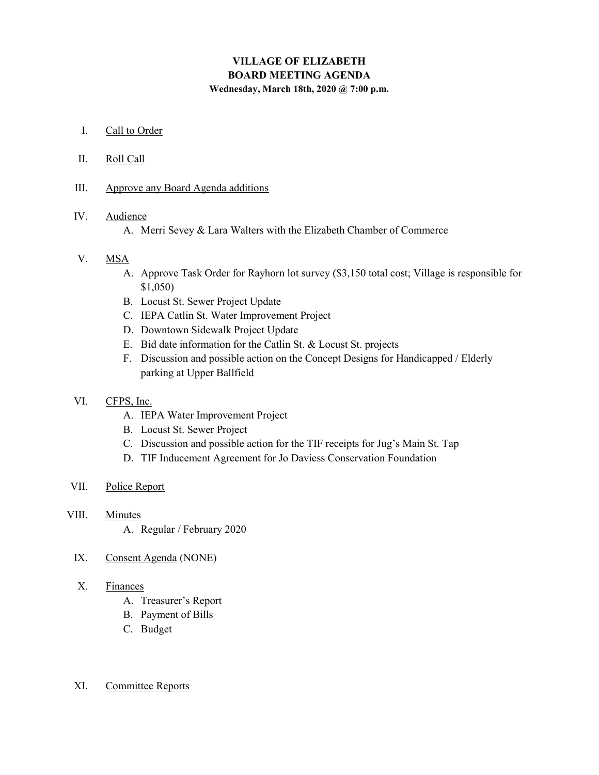# VILLAGE OF ELIZABETH BOARD MEETING AGENDA Wednesday, March 18th, 2020 @ 7:00 p.m.

- I. Call to Order
- II. Roll Call
- III. Approve any Board Agenda additions

## IV. Audience

A. Merri Sevey & Lara Walters with the Elizabeth Chamber of Commerce

## V. MSA

- A. Approve Task Order for Rayhorn lot survey (\$3,150 total cost; Village is responsible for \$1,050)
- B. Locust St. Sewer Project Update
- C. IEPA Catlin St. Water Improvement Project
- D. Downtown Sidewalk Project Update
- E. Bid date information for the Catlin St. & Locust St. projects
- F. Discussion and possible action on the Concept Designs for Handicapped / Elderly parking at Upper Ballfield

#### VI. CFPS, Inc.

- A. IEPA Water Improvement Project
- B. Locust St. Sewer Project
- C. Discussion and possible action for the TIF receipts for Jug's Main St. Tap
- D. TIF Inducement Agreement for Jo Daviess Conservation Foundation

#### VII. Police Report

- VIII. Minutes
	- A. Regular / February 2020
	- IX. Consent Agenda (NONE)

### X. Finances

- A. Treasurer's Report
- B. Payment of Bills
- C. Budget

#### XI. Committee Reports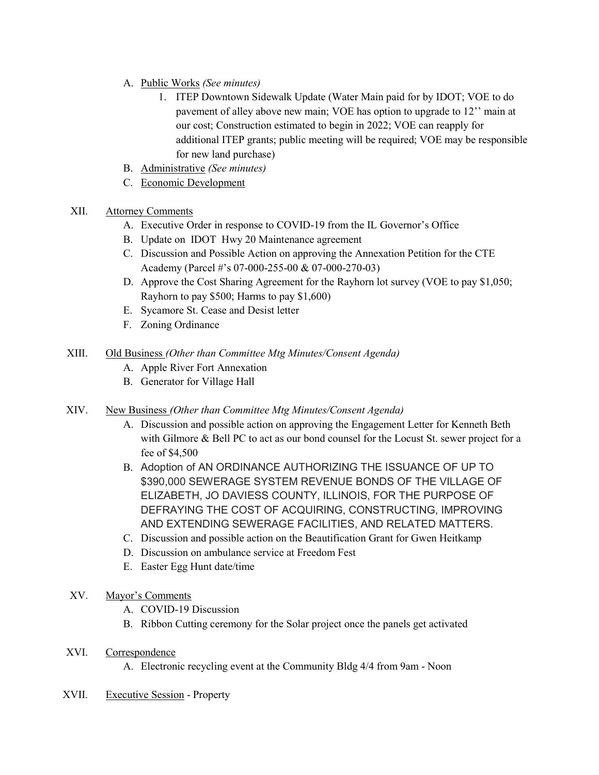- A. Public Works (See minutes)
	- 1. ITEP Downtown Sidewalk Update (Water Main paid for by IDOT; VOE to do pavement of alley above new main; VOE has option to upgrade to 12'' main at our cost; Construction estimated to begin in 2022; VOE can reapply for additional ITEP grants; public meeting will be required; VOE may be responsible for new land purchase)
- B. Administrative (See minutes)
- C. Economic Development

## XII. Attorney Comments

- A. Executive Order in response to COVID-19 from the IL Governor's Office
- B. Update on IDOT Hwy 20 Maintenance agreement
- C. Discussion and Possible Action on approving the Annexation Petition for the CTE Academy (Parcel #'s 07-000-255-00 & 07-000-270-03)
- D. Approve the Cost Sharing Agreement for the Rayhorn lot survey (VOE to pay \$1,050; Rayhorn to pay \$500; Harms to pay \$1,600)
- E. Sycamore St. Cease and Desist letter
- F. Zoning Ordinance
- XIII. Old Business (Other than Committee Mtg Minutes/Consent Agenda)
	- A. Apple River Fort Annexation
	- B. Generator for Village Hall
- XIV. New Business (Other than Committee Mtg Minutes/Consent Agenda)
	- A. Discussion and possible action on approving the Engagement Letter for Kenneth Beth with Gilmore & Bell PC to act as our bond counsel for the Locust St. sewer project for a fee of \$4,500
	- B. Adoption of AN ORDINANCE AUTHORIZING THE ISSUANCE OF UP TO \$390,000 SEWERAGE SYSTEM REVENUE BONDS OF THE VILLAGE OF ELIZABETH, JO DAVIESS COUNTY, ILLINOIS, FOR THE PURPOSE OF DEFRAYING THE COST OF ACQUIRING, CONSTRUCTING, IMPROVING AND EXTENDING SEWERAGE FACILITIES, AND RELATED MATTERS.
	- C. Discussion and possible action on the Beautification Grant for Gwen Heitkamp
	- D. Discussion on ambulance service at Freedom Fest
	- E. Easter Egg Hunt date/time

## XV. Mayor's Comments

- A. COVID-19 Discussion
- B. Ribbon Cutting ceremony for the Solar project once the panels get activated
- XVI. Correspondence
	- A. Electronic recycling event at the Community Bldg 4/4 from 9am Noon
- XVII. Executive Session Property